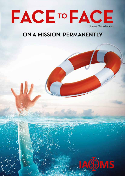

## ON A MISSION, PERMANENTLY

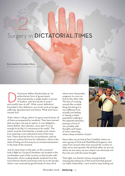## Surgery in DICTATORIAL TIMES 02

By **Humberto Fernández Olarte** El Bosque University. Bogotá (Colombia)

Interior of government,<br>
authoritarian form of government,<br>
characterized by a single leader or gro<br>
of leaders, with the faculty to enact<br>
and modify laws at will". What a poor definition! authoritarian form of government, characterized by a single leader or group of leaders, with the faculty to enact Excluded in this definition, are words such as hunger, suffering, abandonment and illness. What else have I missed out?

That's where I will go, where I've gone several times, all of them accompanied by residents. They have learned that serving is not just an option, it is an obligation. Simón Bolívar \_the Liberator\_ once said: *"It is not enough to be big, it is necessary to be useful".* The action must be motivated by a simple word, whose true meaning is not understood most of the time love. There must be love for our profession, and we must not confuse this love for infatuation, which is the state of being carried away by an unreasoned passion in the heat of the moment.

Just as many times in the past, on this occasion I took a flight to Cúcuta (Colombian city located in the northeastern part of the country, on the border with Venezuela), where undergraduate students from the local Antonio Nariño University took me to the border, where I was received by good friends of mine, all of

whom were Venezuelan surgeons, to cross on foot to the other side. The fact of crossing sounds like a simple thing, but doing it is very different from actually just feeling it. Seeing a whole population walking in the opposite direction, passing in front of me, possibly with thoughts and hopes of never returning.... what a deep sensation of pain!



Hours later, we arrived at San Cristóbal, where we met a group of Oral and Maxillofacial Surgeons, who came from several cities from around the country to help, serve, and operate. We all think alike; we are not alone, we are many, we are a team! I am obviously not the only one with the same thought.

That night, we shared a dinner among friends, enjoying the pleasures of the local food that graced our table. Meanwhile, I can't avoid to stop looking out